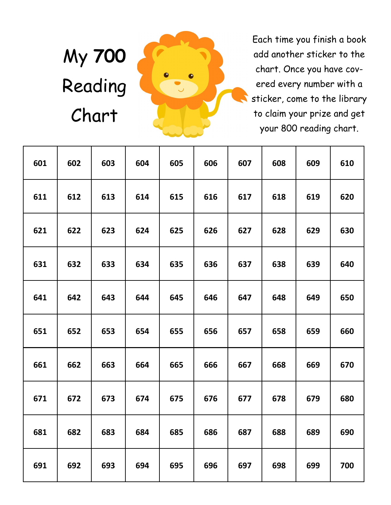# My **700**  Reading Chart



Each time you finish a book add another sticker to the chart. Once you have covered every number with a sticker, come to the library to claim your prize and get your 800 reading chart.

| 601 | 602 | 603 | 604 | 605 | 606 | 607 | 608 | 609 | 610 |
|-----|-----|-----|-----|-----|-----|-----|-----|-----|-----|
| 611 | 612 | 613 | 614 | 615 | 616 | 617 | 618 | 619 | 620 |
| 621 | 622 | 623 | 624 | 625 | 626 | 627 | 628 | 629 | 630 |
| 631 | 632 | 633 | 634 | 635 | 636 | 637 | 638 | 639 | 640 |
| 641 | 642 | 643 | 644 | 645 | 646 | 647 | 648 | 649 | 650 |
| 651 | 652 | 653 | 654 | 655 | 656 | 657 | 658 | 659 | 660 |
| 661 | 662 | 663 | 664 | 665 | 666 | 667 | 668 | 669 | 670 |
| 671 | 672 | 673 | 674 | 675 | 676 | 677 | 678 | 679 | 680 |
| 681 | 682 | 683 | 684 | 685 | 686 | 687 | 688 | 689 | 690 |
| 691 | 692 | 693 | 694 | 695 | 696 | 697 | 698 | 699 | 700 |